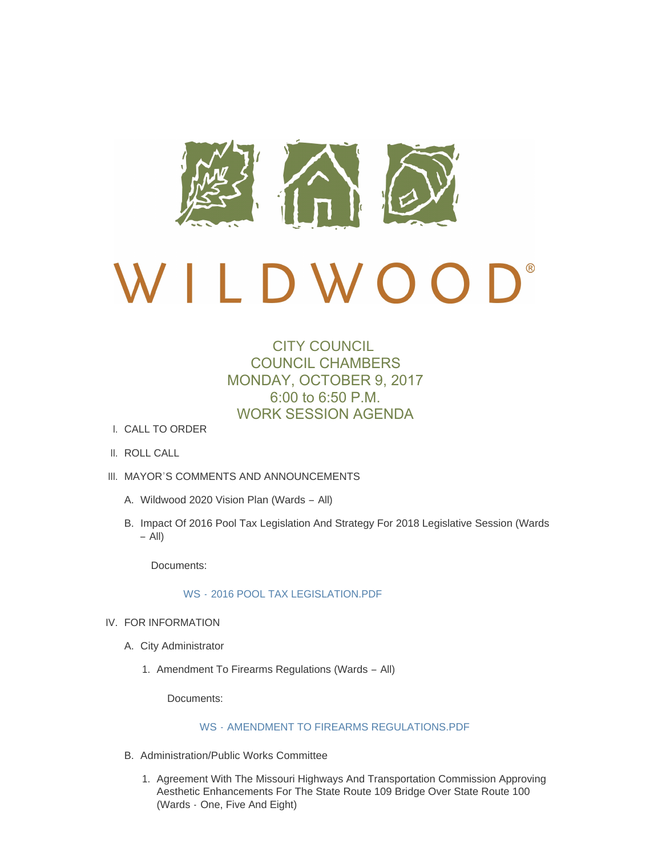

# $\bigcup$ <sup>®</sup> D W O  $\overline{a}$

## CITY COUNCIL COUNCIL CHAMBERS MONDAY, OCTOBER 9, 2017 6:00 to 6:50 P.M. WORK SESSION AGENDA

- CALL TO ORDER I.
- II. ROLL CALL
- III. MAYOR'S COMMENTS AND ANNOUNCEMENTS
	- Wildwood 2020 Vision Plan (Wards All) A.
	- B. Impact Of 2016 Pool Tax Legislation And Strategy For 2018 Legislative Session (Wards – All)

Documents:

#### WS - [2016 POOL TAX LEGISLATION.PDF](http://cityofwildwood.com/AgendaCenter/ViewFile/Item/12592?fileID=18074)

- IV. FOR INFORMATION
	- A. City Administrator
		- 1. Amendment To Firearms Regulations (Wards All)

Documents:

### WS - [AMENDMENT TO FIREARMS REGULATIONS.PDF](http://cityofwildwood.com/AgendaCenter/ViewFile/Item/12595?fileID=18075)

- B. Administration/Public Works Committee
	- 1. Agreement With The Missouri Highways And Transportation Commission Approving Aesthetic Enhancements For The State Route 109 Bridge Over State Route 100 (Wards - One, Five And Eight)